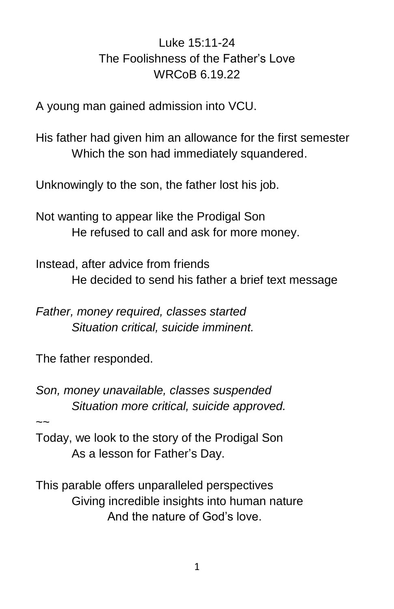## Luke 15:11-24 The Foolishness of the Father's Love WRCoB 6.19.22

A young man gained admission into VCU.

His father had given him an allowance for the first semester Which the son had immediately squandered.

Unknowingly to the son, the father lost his job.

Not wanting to appear like the Prodigal Son He refused to call and ask for more money.

Instead, after advice from friends He decided to send his father a brief text message

*Father, money required, classes started Situation critical, suicide imminent.*

The father responded.

*Son, money unavailable, classes suspended Situation more critical, suicide approved.*

 $\sim$ 

Today, we look to the story of the Prodigal Son As a lesson for Father's Day.

This parable offers unparalleled perspectives Giving incredible insights into human nature And the nature of God's love.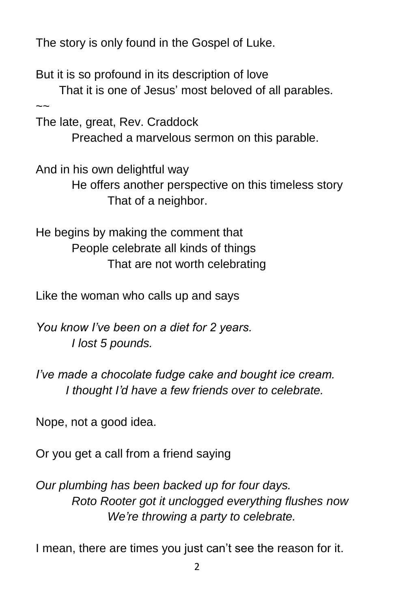The story is only found in the Gospel of Luke.

But it is so profound in its description of love

 That it is one of Jesus' most beloved of all parables.  $\sim$ 

The late, great, Rev. Craddock

Preached a marvelous sermon on this parable.

And in his own delightful way

He offers another perspective on this timeless story That of a neighbor.

He begins by making the comment that People celebrate all kinds of things That are not worth celebrating

Like the woman who calls up and says

*You know I've been on a diet for 2 years. I lost 5 pounds.*

*I've made a chocolate fudge cake and bought ice cream. I thought I'd have a few friends over to celebrate.*

Nope, not a good idea.

Or you get a call from a friend saying

*Our plumbing has been backed up for four days. Roto Rooter got it unclogged everything flushes now We're throwing a party to celebrate.*

I mean, there are times you just can't see the reason for it.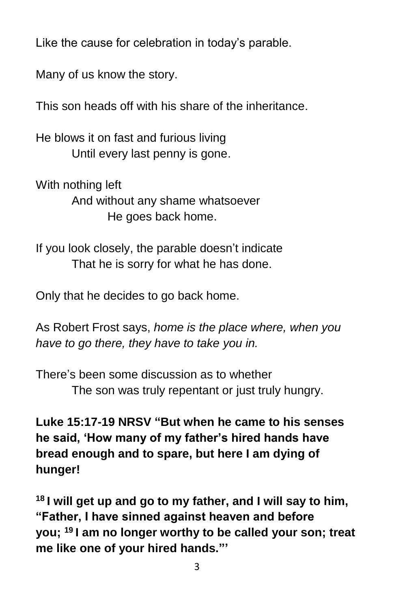Like the cause for celebration in today's parable.

Many of us know the story.

This son heads off with his share of the inheritance.

He blows it on fast and furious living Until every last penny is gone.

With nothing left And without any shame whatsoever He goes back home.

If you look closely, the parable doesn't indicate That he is sorry for what he has done.

Only that he decides to go back home.

As Robert Frost says, *home is the place where, when you have to go there, they have to take you in.*

There's been some discussion as to whether The son was truly repentant or just truly hungry.

**Luke 15:17-19 NRSV "But when he came to his senses he said, 'How many of my father's hired hands have bread enough and to spare, but here I am dying of hunger!**

**<sup>18</sup> I will get up and go to my father, and I will say to him, "Father, I have sinned against heaven and before you; <sup>19</sup> I am no longer worthy to be called your son; treat me like one of your hired hands."'**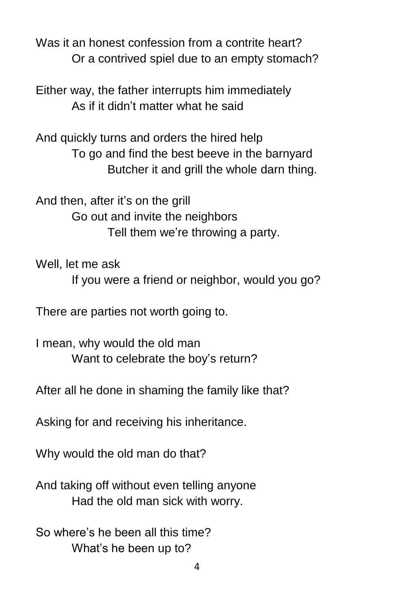Was it an honest confession from a contrite heart? Or a contrived spiel due to an empty stomach?

Either way, the father interrupts him immediately As if it didn't matter what he said

And quickly turns and orders the hired help To go and find the best beeve in the barnyard Butcher it and grill the whole darn thing.

And then, after it's on the grill Go out and invite the neighbors Tell them we're throwing a party.

Well, let me ask

If you were a friend or neighbor, would you go?

There are parties not worth going to.

I mean, why would the old man Want to celebrate the boy's return?

After all he done in shaming the family like that?

Asking for and receiving his inheritance.

Why would the old man do that?

And taking off without even telling anyone Had the old man sick with worry.

So where's he been all this time? What's he been up to?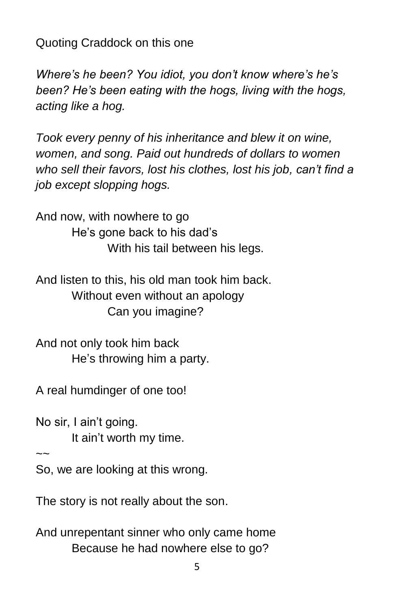Quoting Craddock on this one

*Where's he been? You idiot, you don't know where's he's been? He's been eating with the hogs, living with the hogs, acting like a hog.* 

*Took every penny of his inheritance and blew it on wine, women, and song. Paid out hundreds of dollars to women who sell their favors, lost his clothes, lost his job, can't find a job except slopping hogs.*

And now, with nowhere to go He's gone back to his dad's With his tail between his legs.

And listen to this, his old man took him back. Without even without an apology Can you imagine?

And not only took him back He's throwing him a party.

A real humdinger of one too!

No sir, I ain't going. It ain't worth my time.

 $\sim$ 

So, we are looking at this wrong.

The story is not really about the son.

And unrepentant sinner who only came home Because he had nowhere else to go?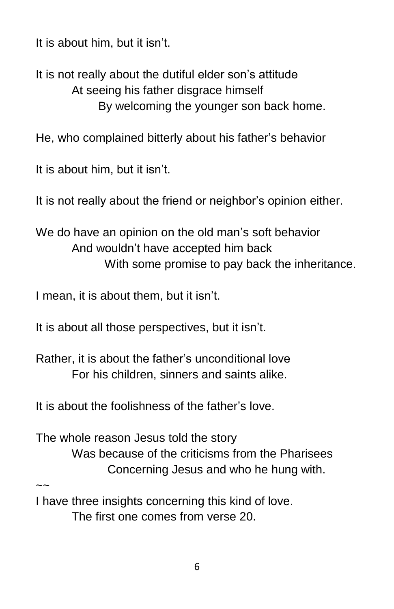It is about him, but it isn't.

It is not really about the dutiful elder son's attitude At seeing his father disgrace himself By welcoming the younger son back home.

He, who complained bitterly about his father's behavior

It is about him, but it isn't.

It is not really about the friend or neighbor's opinion either.

We do have an opinion on the old man's soft behavior And wouldn't have accepted him back With some promise to pay back the inheritance.

I mean, it is about them, but it isn't.

It is about all those perspectives, but it isn't.

Rather, it is about the father's unconditional love For his children, sinners and saints alike.

It is about the foolishness of the father's love.

The whole reason Jesus told the story Was because of the criticisms from the Pharisees Concerning Jesus and who he hung with.

 $\sim$ 

I have three insights concerning this kind of love. The first one comes from verse 20.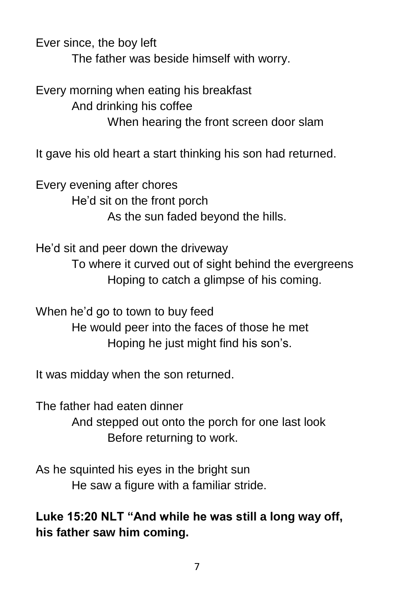Ever since, the boy left

The father was beside himself with worry.

Every morning when eating his breakfast And drinking his coffee When hearing the front screen door slam

It gave his old heart a start thinking his son had returned.

Every evening after chores He'd sit on the front porch As the sun faded beyond the hills.

He'd sit and peer down the driveway To where it curved out of sight behind the evergreens Hoping to catch a glimpse of his coming.

When he'd go to town to buy feed He would peer into the faces of those he met Hoping he just might find his son's.

It was midday when the son returned.

The father had eaten dinner And stepped out onto the porch for one last look Before returning to work.

As he squinted his eyes in the bright sun He saw a figure with a familiar stride.

**Luke 15:20 NLT "And while he was still a long way off, his father saw him coming.**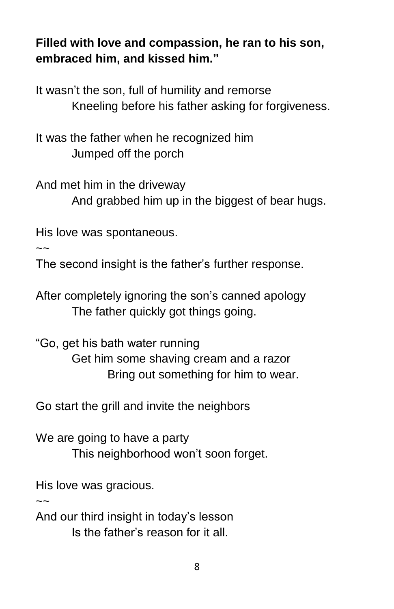## **Filled with love and compassion, he ran to his son, embraced him, and kissed him."**

It wasn't the son, full of humility and remorse Kneeling before his father asking for forgiveness.

It was the father when he recognized him Jumped off the porch

And met him in the driveway And grabbed him up in the biggest of bear hugs.

His love was spontaneous.

 $\sim$ 

The second insight is the father's further response.

After completely ignoring the son's canned apology The father quickly got things going.

"Go, get his bath water running Get him some shaving cream and a razor Bring out something for him to wear.

Go start the grill and invite the neighbors

We are going to have a party This neighborhood won't soon forget.

His love was gracious.

 $\sim$ 

And our third insight in today's lesson Is the father's reason for it all.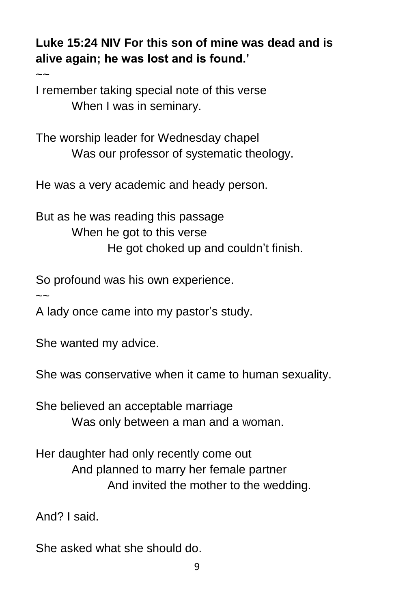**Luke 15:24 NIV For this son of mine was dead and is alive again; he was lost and is found.'** 

I remember taking special note of this verse When I was in seminary.

The worship leader for Wednesday chapel Was our professor of systematic theology.

He was a very academic and heady person.

But as he was reading this passage When he got to this verse He got choked up and couldn't finish.

So profound was his own experience.

 $\sim$ 

 $\sim$ 

A lady once came into my pastor's study.

She wanted my advice.

She was conservative when it came to human sexuality.

She believed an acceptable marriage Was only between a man and a woman.

Her daughter had only recently come out And planned to marry her female partner And invited the mother to the wedding.

And? I said.

She asked what she should do.